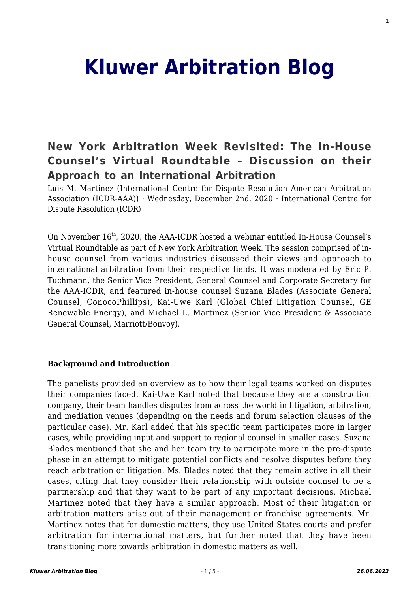# **[Kluwer Arbitration Blog](http://arbitrationblog.kluwerarbitration.com/)**

# **[New York Arbitration Week Revisited: The In‐House](http://arbitrationblog.kluwerarbitration.com/2020/12/02/new-york-arbitration-week-revisited-the-in%e2%80%90house-counsels-virtual-roundtable-discussion-on-their-approach-to-an-international-arbitration/) [Counsel's Virtual Roundtable – Discussion on their](http://arbitrationblog.kluwerarbitration.com/2020/12/02/new-york-arbitration-week-revisited-the-in%e2%80%90house-counsels-virtual-roundtable-discussion-on-their-approach-to-an-international-arbitration/) [Approach to an International Arbitration](http://arbitrationblog.kluwerarbitration.com/2020/12/02/new-york-arbitration-week-revisited-the-in%e2%80%90house-counsels-virtual-roundtable-discussion-on-their-approach-to-an-international-arbitration/)**

Luis M. Martinez (International Centre for Dispute Resolution American Arbitration Association (ICDR-AAA)) · Wednesday, December 2nd, 2020 · International Centre for Dispute Resolution (ICDR)

On November  $16^{th}$ , 2020, the AAA-ICDR hosted a webinar entitled In-House Counsel's Virtual Roundtable as part of New York Arbitration Week. The session comprised of inhouse counsel from various industries discussed their views and approach to international arbitration from their respective fields. It was moderated by Eric P. Tuchmann, the Senior Vice President, General Counsel and Corporate Secretary for the AAA-ICDR, and featured in-house counsel Suzana Blades (Associate General Counsel, ConocoPhillips), Kai-Uwe Karl (Global Chief Litigation Counsel, GE Renewable Energy), and Michael L. Martinez (Senior Vice President & Associate General Counsel, Marriott/Bonvoy).

#### **Background and Introduction**

The panelists provided an overview as to how their legal teams worked on disputes their companies faced. Kai-Uwe Karl noted that because they are a construction company, their team handles disputes from across the world in litigation, arbitration, and mediation venues (depending on the needs and forum selection clauses of the particular case). Mr. Karl added that his specific team participates more in larger cases, while providing input and support to regional counsel in smaller cases. Suzana Blades mentioned that she and her team try to participate more in the pre-dispute phase in an attempt to mitigate potential conflicts and resolve disputes before they reach arbitration or litigation. Ms. Blades noted that they remain active in all their cases, citing that they consider their relationship with outside counsel to be a partnership and that they want to be part of any important decisions. Michael Martinez noted that they have a similar approach. Most of their litigation or arbitration matters arise out of their management or franchise agreements. Mr. Martinez notes that for domestic matters, they use United States courts and prefer arbitration for international matters, but further noted that they have been transitioning more towards arbitration in domestic matters as well.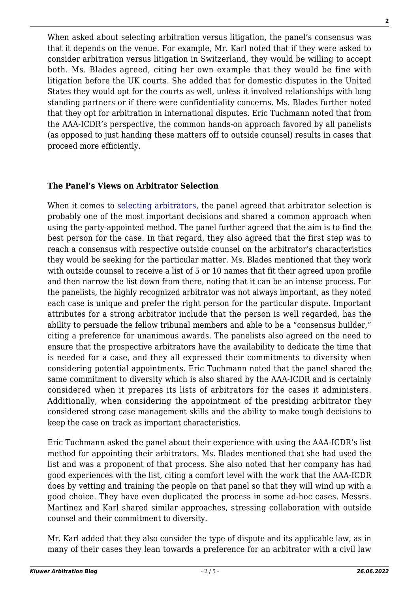When asked about selecting arbitration versus litigation, the panel's consensus was that it depends on the venue. For example, Mr. Karl noted that if they were asked to consider arbitration versus litigation in Switzerland, they would be willing to accept both. Ms. Blades agreed, citing her own example that they would be fine with litigation before the UK courts. She added that for domestic disputes in the United States they would opt for the courts as well, unless it involved relationships with long standing partners or if there were confidentiality concerns. Ms. Blades further noted that they opt for arbitration in international disputes. Eric Tuchmann noted that from the AAA-ICDR's perspective, the common hands-on approach favored by all panelists (as opposed to just handing these matters off to outside counsel) results in cases that proceed more efficiently.

#### **The Panel's Views on Arbitrator Selection**

When it comes to [selecting arbitrators,](https://www.kluwerarbitration.com/document/kli-ka-icca-cb17-16?q=selecting%20arbitrators) the panel agreed that arbitrator selection is probably one of the most important decisions and shared a common approach when using the party-appointed method. The panel further agreed that the aim is to find the best person for the case. In that regard, they also agreed that the first step was to reach a consensus with respective outside counsel on the arbitrator's characteristics they would be seeking for the particular matter. Ms. Blades mentioned that they work with outside counsel to receive a list of 5 or 10 names that fit their agreed upon profile and then narrow the list down from there, noting that it can be an intense process. For the panelists, the highly recognized arbitrator was not always important, as they noted each case is unique and prefer the right person for the particular dispute. Important attributes for a strong arbitrator include that the person is well regarded, has the ability to persuade the fellow tribunal members and able to be a "consensus builder," citing a preference for unanimous awards. The panelists also agreed on the need to ensure that the prospective arbitrators have the availability to dedicate the time that is needed for a case, and they all expressed their commitments to diversity when considering potential appointments. Eric Tuchmann noted that the panel shared the same commitment to diversity which is also shared by the AAA-ICDR and is certainly considered when it prepares its lists of arbitrators for the cases it administers. Additionally, when considering the appointment of the presiding arbitrator they considered strong case management skills and the ability to make tough decisions to keep the case on track as important characteristics.

Eric Tuchmann asked the panel about their experience with using the AAA-ICDR's list method for appointing their arbitrators. Ms. Blades mentioned that she had used the list and was a proponent of that process. She also noted that her company has had good experiences with the list, citing a comfort level with the work that the AAA-ICDR does by vetting and training the people on that panel so that they will wind up with a good choice. They have even duplicated the process in some ad-hoc cases. Messrs. Martinez and Karl shared similar approaches, stressing collaboration with outside counsel and their commitment to diversity.

Mr. Karl added that they also consider the type of dispute and its applicable law, as in many of their cases they lean towards a preference for an arbitrator with a civil law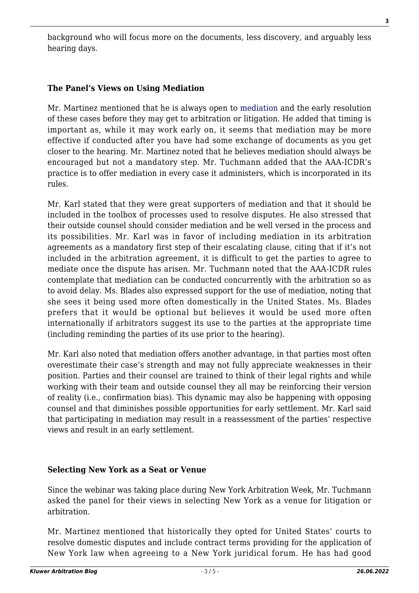background who will focus more on the documents, less discovery, and arguably less hearing days.

# **The Panel's Views on Using Mediation**

Mr. Martinez mentioned that he is always open to [mediation](https://www.kluwerarbitration.com/book-toc?title=International+and+Comparative+Mediation) and the early resolution of these cases before they may get to arbitration or litigation. He added that timing is important as, while it may work early on, it seems that mediation may be more effective if conducted after you have had some exchange of documents as you get closer to the hearing. Mr. Martinez noted that he believes mediation should always be encouraged but not a mandatory step. Mr. Tuchmann added that the AAA-ICDR's practice is to offer mediation in every case it administers, which is incorporated in its rules.

Mr. Karl stated that they were great supporters of mediation and that it should be included in the toolbox of processes used to resolve disputes. He also stressed that their outside counsel should consider mediation and be well versed in the process and its possibilities. Mr. Karl was in favor of including mediation in its arbitration agreements as a mandatory first step of their escalating clause, citing that if it's not included in the arbitration agreement, it is difficult to get the parties to agree to mediate once the dispute has arisen. Mr. Tuchmann noted that the AAA-ICDR rules contemplate that mediation can be conducted concurrently with the arbitration so as to avoid delay. Ms. Blades also expressed support for the use of mediation, noting that she sees it being used more often domestically in the United States. Ms. Blades prefers that it would be optional but believes it would be used more often internationally if arbitrators suggest its use to the parties at the appropriate time (including reminding the parties of its use prior to the hearing).

Mr. Karl also noted that mediation offers another advantage, in that parties most often overestimate their case's strength and may not fully appreciate weaknesses in their position. Parties and their counsel are trained to think of their legal rights and while working with their team and outside counsel they all may be reinforcing their version of reality (i.e., confirmation bias). This dynamic may also be happening with opposing counsel and that diminishes possible opportunities for early settlement. Mr. Karl said that participating in mediation may result in a reassessment of the parties' respective views and result in an early settlement.

## **Selecting New York as a Seat or Venue**

Since the webinar was taking place during New York Arbitration Week, Mr. Tuchmann asked the panel for their views in selecting New York as a venue for litigation or arbitration.

Mr. Martinez mentioned that historically they opted for United States' courts to resolve domestic disputes and include contract terms providing for the application of New York law when agreeing to a New York juridical forum. He has had good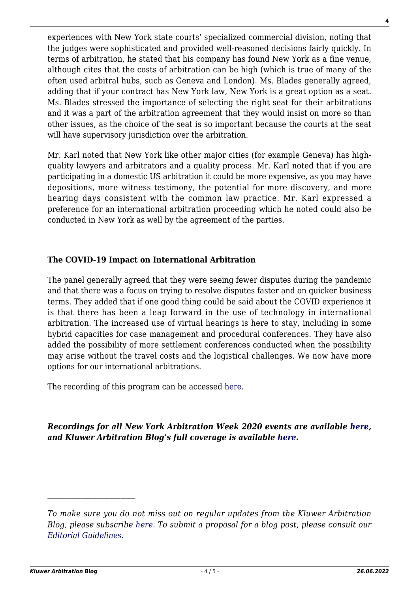experiences with New York state courts' specialized commercial division, noting that the judges were sophisticated and provided well-reasoned decisions fairly quickly. In terms of arbitration, he stated that his company has found New York as a fine venue, although cites that the costs of arbitration can be high (which is true of many of the often used arbitral hubs, such as Geneva and London). Ms. Blades generally agreed, adding that if your contract has New York law, New York is a great option as a seat. Ms. Blades stressed the importance of selecting the right seat for their arbitrations and it was a part of the arbitration agreement that they would insist on more so than other issues, as the choice of the seat is so important because the courts at the seat will have supervisory jurisdiction over the arbitration.

Mr. Karl noted that New York like other major cities (for example Geneva) has highquality lawyers and arbitrators and a quality process. Mr. Karl noted that if you are participating in a domestic US arbitration it could be more expensive, as you may have depositions, more witness testimony, the potential for more discovery, and more hearing days consistent with the common law practice. Mr. Karl expressed a preference for an international arbitration proceeding which he noted could also be conducted in New York as well by the agreement of the parties.

## **The COVID-19 Impact on International Arbitration**

The panel generally agreed that they were seeing fewer disputes during the pandemic and that there was a focus on trying to resolve disputes faster and on quicker business terms. They added that if one good thing could be said about the COVID experience it is that there has been a leap forward in the use of technology in international arbitration. The increased use of virtual hearings is here to stay, including in some hybrid capacities for case management and procedural conferences. They have also added the possibility of more settlement conferences conducted when the possibility may arise without the travel costs and the logistical challenges. We now have more options for our international arbitrations.

The recording of this program can be accessed [here](https://www.icdr.org/index.php/young-and-international).

## *Recordings for all New York Arbitration Week 2020 events are available [here](https://nyarbitrationweek.com/new-york-arbitration-week-2020-video-recordings/), and Kluwer Arbitration Blog's full coverage is available [here.](http://arbitrationblog.kluwerarbitration.com/category/new-york-arbitration-week/)*

*To make sure you do not miss out on regular updates from the Kluwer Arbitration Blog, please subscribe [here](http://arbitrationblog.kluwerarbitration.com/newsletter/). To submit a proposal for a blog post, please consult our [Editorial Guidelines.](http://arbitrationblog.kluwerarbitration.com/editorial-guidelines/)*